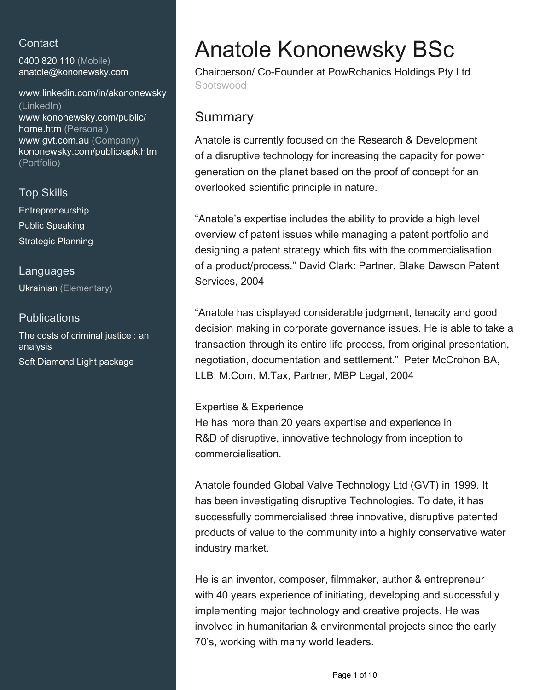# **Contact**

0400 820 110 (Mobile) anatole@kononewsky.com

www.linkedin.com/in/akononewsky (LinkedIn) www.kononewsky.com/public/ home.htm (Personal) www.gvt.com.au (Company) kononewsky.com/public/apk.htm (Portfolio)

## Top Skills

Entrepreneurship Public Speaking Strategic Planning

Languages Ukrainian (Elementary)

### **Publications**

The costs of criminal justice : an analysis Soft Diamond Light package

# Anatole Kononewsky BSc

Chairperson/ Co-Founder at PowRchanics Holdings Pty Ltd Spotswood

# **Summary**

Anatole is currently focused on the Research & Development of a disruptive technology for increasing the capacity for power generation on the planet based on the proof of concept for an overlooked scientific principle in nature.

"Anatole's expertise includes the ability to provide a high level overview of patent issues while managing a patent portfolio and designing a patent strategy which fits with the commercialisation of a product/process." David Clark: Partner, Blake Dawson Patent Services, 2004

"Anatole has displayed considerable judgment, tenacity and good decision making in corporate governance issues. He is able to take a transaction through its entire life process, from original presentation, negotiation, documentation and settlement." Peter McCrohon BA, LLB, M.Com, M.Tax, Partner, MBP Legal, 2004

## Expertise & Experience

He has more than 20 years expertise and experience in R&D of disruptive, innovative technology from inception to commercialisation.

Anatole founded Global Valve Technology Ltd (GVT) in 1999. It has been investigating disruptive Technologies. To date, it has successfully commercialised three innovative, disruptive patented products of value to the community into a highly conservative water industry market.

He is an inventor, composer, filmmaker, author & entrepreneur with 40 years experience of initiating, developing and successfully implementing major technology and creative projects. He was involved in humanitarian & environmental projects since the early 70's, working with many world leaders.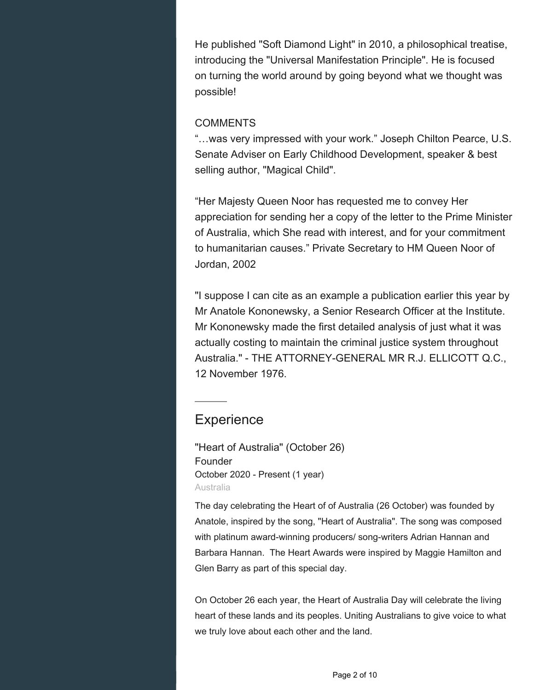He published "Soft Diamond Light" in 2010, a philosophical treatise, introducing the "Universal Manifestation Principle". He is focused on turning the world around by going beyond what we thought was possible!

#### **COMMENTS**

"…was very impressed with your work." Joseph Chilton Pearce, U.S. Senate Adviser on Early Childhood Development, speaker & best selling author, "Magical Child".

"Her Majesty Queen Noor has requested me to convey Her appreciation for sending her a copy of the letter to the Prime Minister of Australia, which She read with interest, and for your commitment to humanitarian causes." Private Secretary to HM Queen Noor of Jordan, 2002

"I suppose I can cite as an example a publication earlier this year by Mr Anatole Kononewsky, a Senior Research Officer at the Institute. Mr Kononewsky made the first detailed analysis of just what it was actually costing to maintain the criminal justice system throughout Australia." - THE ATTORNEY-GENERAL MR R.J. ELLICOTT Q.C., 12 November 1976.

# **Experience**

"Heart of Australia" (October 26) Founder October 2020 - Present (1 year) Australia

The day celebrating the Heart of of Australia (26 October) was founded by Anatole, inspired by the song, "Heart of Australia". The song was composed with platinum award-winning producers/ song-writers Adrian Hannan and Barbara Hannan. The Heart Awards were inspired by Maggie Hamilton and Glen Barry as part of this special day.

On October 26 each year, the Heart of Australia Day will celebrate the living heart of these lands and its peoples. Uniting Australians to give voice to what we truly love about each other and the land.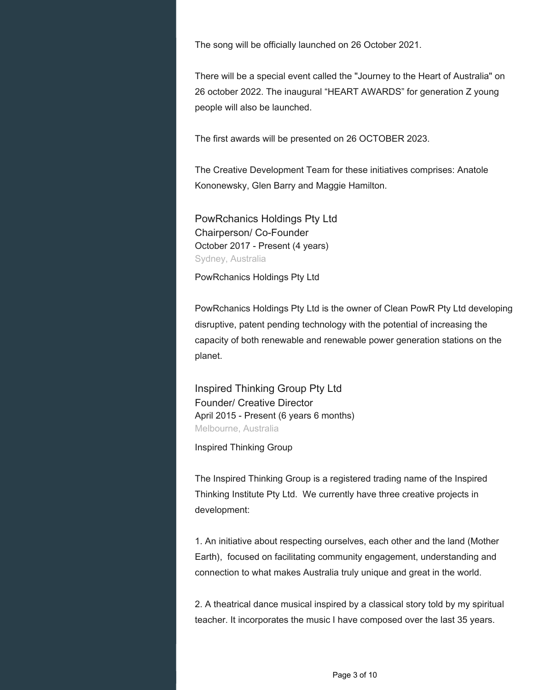The song will be officially launched on 26 October 2021.

There will be a special event called the "Journey to the Heart of Australia" on 26 october 2022. The inaugural "HEART AWARDS" for generation Z young people will also be launched.

The first awards will be presented on 26 OCTOBER 2023.

The Creative Development Team for these initiatives comprises: Anatole Kononewsky, Glen Barry and Maggie Hamilton.

PowRchanics Holdings Pty Ltd Chairperson/ Co-Founder October 2017 - Present (4 years) Sydney, Australia

PowRchanics Holdings Pty Ltd

PowRchanics Holdings Pty Ltd is the owner of Clean PowR Pty Ltd developing disruptive, patent pending technology with the potential of increasing the capacity of both renewable and renewable power generation stations on the planet.

Inspired Thinking Group Pty Ltd Founder/ Creative Director April 2015 - Present (6 years 6 months) Melbourne, Australia

Inspired Thinking Group

The Inspired Thinking Group is a registered trading name of the Inspired Thinking Institute Pty Ltd. We currently have three creative projects in development:

1. An initiative about respecting ourselves, each other and the land (Mother Earth), focused on facilitating community engagement, understanding and connection to what makes Australia truly unique and great in the world.

2. A theatrical dance musical inspired by a classical story told by my spiritual teacher. It incorporates the music I have composed over the last 35 years.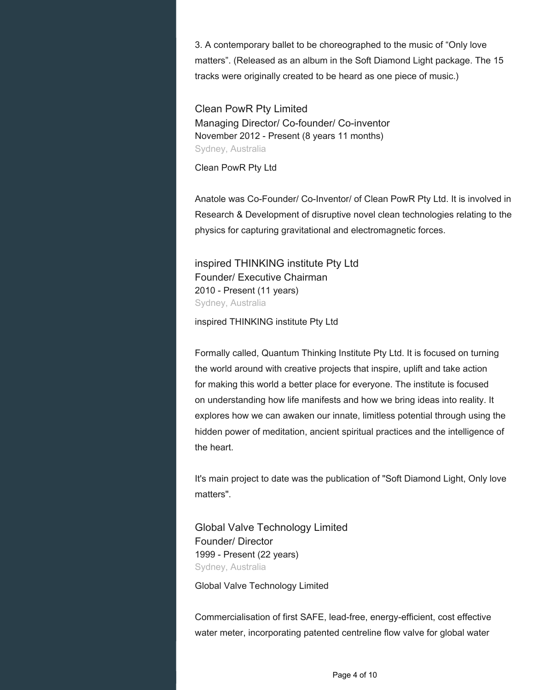3. A contemporary ballet to be choreographed to the music of "Only love matters". (Released as an album in the Soft Diamond Light package. The 15 tracks were originally created to be heard as one piece of music.)

Clean PowR Pty Limited Managing Director/ Co-founder/ Co-inventor November 2012 - Present (8 years 11 months) Sydney, Australia

Clean PowR Pty Ltd

Anatole was Co-Founder/ Co-Inventor/ of Clean PowR Pty Ltd. It is involved in Research & Development of disruptive novel clean technologies relating to the physics for capturing gravitational and electromagnetic forces.

inspired THINKING institute Pty Ltd Founder/ Executive Chairman 2010 - Present (11 years) Sydney, Australia

inspired THINKING institute Pty Ltd

Formally called, Quantum Thinking Institute Pty Ltd. It is focused on turning the world around with creative projects that inspire, uplift and take action for making this world a better place for everyone. The institute is focused on understanding how life manifests and how we bring ideas into reality. It explores how we can awaken our innate, limitless potential through using the hidden power of meditation, ancient spiritual practices and the intelligence of the heart.

It's main project to date was the publication of "Soft Diamond Light, Only love matters".

Global Valve Technology Limited Founder/ Director 1999 - Present (22 years) Sydney, Australia

Global Valve Technology Limited

Commercialisation of first SAFE, lead-free, energy-efficient, cost effective water meter, incorporating patented centreline flow valve for global water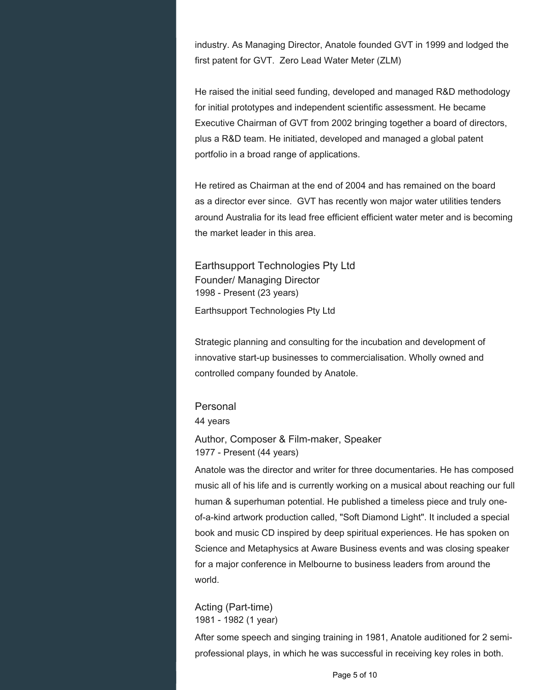industry. As Managing Director, Anatole founded GVT in 1999 and lodged the first patent for GVT. Zero Lead Water Meter (ZLM)

He raised the initial seed funding, developed and managed R&D methodology for initial prototypes and independent scientific assessment. He became Executive Chairman of GVT from 2002 bringing together a board of directors, plus a R&D team. He initiated, developed and managed a global patent portfolio in a broad range of applications.

He retired as Chairman at the end of 2004 and has remained on the board as a director ever since. GVT has recently won major water utilities tenders around Australia for its lead free efficient efficient water meter and is becoming the market leader in this area.

Earthsupport Technologies Pty Ltd Founder/ Managing Director 1998 - Present (23 years) Earthsupport Technologies Pty Ltd

Strategic planning and consulting for the incubation and development of innovative start-up businesses to commercialisation. Wholly owned and controlled company founded by Anatole.

Personal 44 years

Author, Composer & Film-maker, Speaker 1977 - Present (44 years)

Anatole was the director and writer for three documentaries. He has composed music all of his life and is currently working on a musical about reaching our full human & superhuman potential. He published a timeless piece and truly oneof-a-kind artwork production called, "Soft Diamond Light". It included a special book and music CD inspired by deep spiritual experiences. He has spoken on Science and Metaphysics at Aware Business events and was closing speaker for a major conference in Melbourne to business leaders from around the world.

Acting (Part-time) 1981 - 1982 (1 year)

After some speech and singing training in 1981, Anatole auditioned for 2 semiprofessional plays, in which he was successful in receiving key roles in both.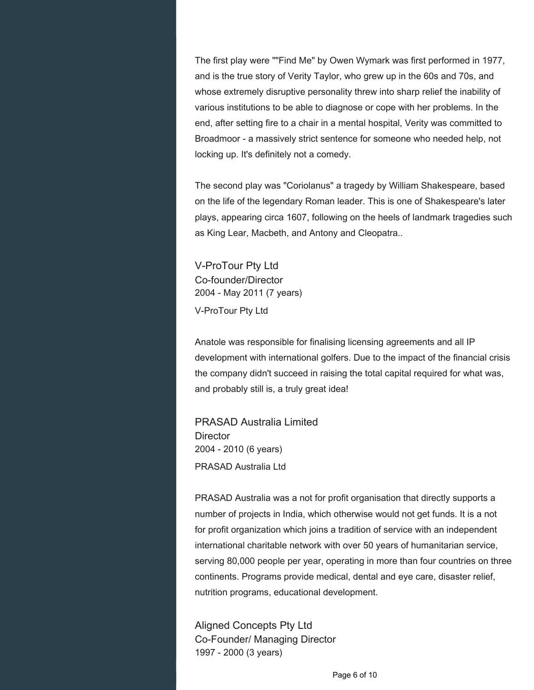The first play were ""Find Me" by Owen Wymark was first performed in 1977, and is the true story of Verity Taylor, who grew up in the 60s and 70s, and whose extremely disruptive personality threw into sharp relief the inability of various institutions to be able to diagnose or cope with her problems. In the end, after setting fire to a chair in a mental hospital, Verity was committed to Broadmoor - a massively strict sentence for someone who needed help, not locking up. It's definitely not a comedy.

The second play was "Coriolanus" a tragedy by William Shakespeare, based on the life of the legendary Roman leader. This is one of Shakespeare's later plays, appearing circa 1607, following on the heels of landmark tragedies such as King Lear, Macbeth, and Antony and Cleopatra..

V-ProTour Pty Ltd Co-founder/Director 2004 - May 2011 (7 years) V-ProTour Pty Ltd

Anatole was responsible for finalising licensing agreements and all IP development with international golfers. Due to the impact of the financial crisis the company didn't succeed in raising the total capital required for what was, and probably still is, a truly great idea!

PRASAD Australia Limited **Director** 2004 - 2010 (6 years) PRASAD Australia Ltd

PRASAD Australia was a not for profit organisation that directly supports a number of projects in India, which otherwise would not get funds. It is a not for profit organization which joins a tradition of service with an independent international charitable network with over 50 years of humanitarian service, serving 80,000 people per year, operating in more than four countries on three continents. Programs provide medical, dental and eye care, disaster relief, nutrition programs, educational development.

Aligned Concepts Pty Ltd Co-Founder/ Managing Director 1997 - 2000 (3 years)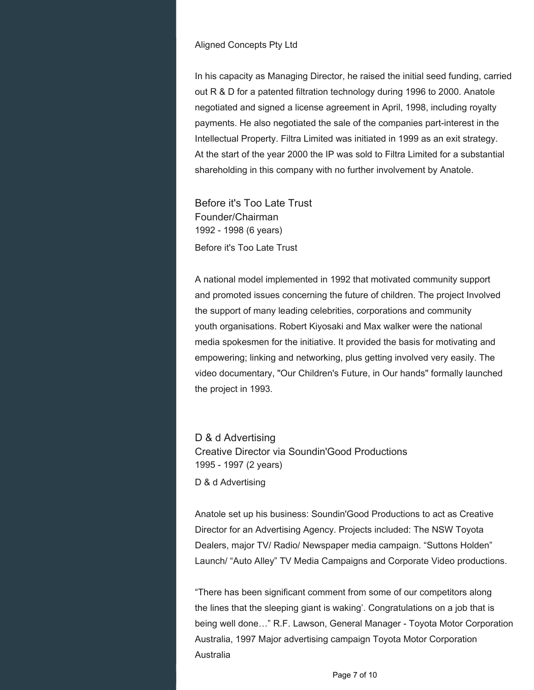#### Aligned Concepts Pty Ltd

In his capacity as Managing Director, he raised the initial seed funding, carried out R & D for a patented filtration technology during 1996 to 2000. Anatole negotiated and signed a license agreement in April, 1998, including royalty payments. He also negotiated the sale of the companies part-interest in the Intellectual Property. Filtra Limited was initiated in 1999 as an exit strategy. At the start of the year 2000 the IP was sold to Filtra Limited for a substantial shareholding in this company with no further involvement by Anatole.

Before it's Too Late Trust Founder/Chairman 1992 - 1998 (6 years) Before it's Too Late Trust

A national model implemented in 1992 that motivated community support and promoted issues concerning the future of children. The project Involved the support of many leading celebrities, corporations and community youth organisations. Robert Kiyosaki and Max walker were the national media spokesmen for the initiative. It provided the basis for motivating and empowering; linking and networking, plus getting involved very easily. The video documentary, "Our Children's Future, in Our hands" formally launched the project in 1993.

D & d Advertising Creative Director via Soundin'Good Productions 1995 - 1997 (2 years)

D & d Advertising

Anatole set up his business: Soundin'Good Productions to act as Creative Director for an Advertising Agency. Projects included: The NSW Toyota Dealers, major TV/ Radio/ Newspaper media campaign. "Suttons Holden" Launch/ "Auto Alley" TV Media Campaigns and Corporate Video productions.

"There has been significant comment from some of our competitors along the lines that the sleeping giant is waking'. Congratulations on a job that is being well done…" R.F. Lawson, General Manager - Toyota Motor Corporation Australia, 1997 Major advertising campaign Toyota Motor Corporation Australia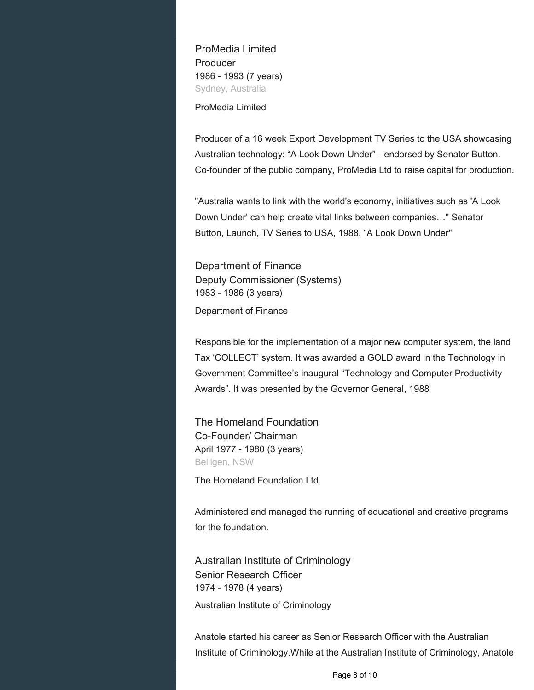ProMedia Limited Producer 1986 - 1993 (7 years) Sydney, Australia

ProMedia Limited

Producer of a 16 week Export Development TV Series to the USA showcasing Australian technology: "A Look Down Under"-- endorsed by Senator Button. Co-founder of the public company, ProMedia Ltd to raise capital for production.

"Australia wants to link with the world's economy, initiatives such as 'A Look Down Under' can help create vital links between companies…" Senator Button, Launch, TV Series to USA, 1988. "A Look Down Under"

Department of Finance Deputy Commissioner (Systems) 1983 - 1986 (3 years) Department of Finance

Responsible for the implementation of a major new computer system, the land Tax 'COLLECT' system. It was awarded a GOLD award in the Technology in Government Committee's inaugural "Technology and Computer Productivity Awards". It was presented by the Governor General, 1988

The Homeland Foundation Co-Founder/ Chairman April 1977 - 1980 (3 years) Belligen, NSW

The Homeland Foundation Ltd

Administered and managed the running of educational and creative programs for the foundation.

Australian Institute of Criminology Senior Research Officer 1974 - 1978 (4 years)

Australian Institute of Criminology

Anatole started his career as Senior Research Officer with the Australian Institute of Criminology.While at the Australian Institute of Criminology, Anatole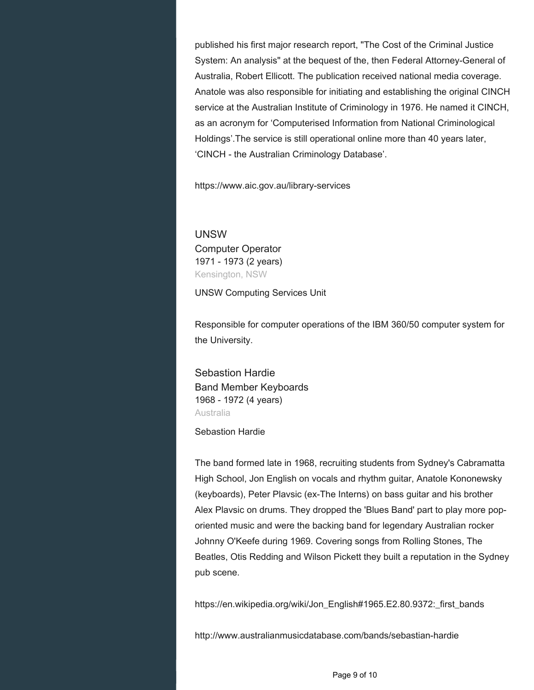published his first major research report, "The Cost of the Criminal Justice System: An analysis" at the bequest of the, then Federal Attorney-General of Australia, Robert Ellicott. The publication received national media coverage. Anatole was also responsible for initiating and establishing the original CINCH service at the Australian Institute of Criminology in 1976. He named it CINCH, as an acronym for 'Computerised Information from National Criminological Holdings'.The service is still operational online more than 40 years later, 'CINCH - the Australian Criminology Database'.

https://www.aic.gov.au/library-services

UNSW Computer Operator 1971 - 1973 (2 years) Kensington, NSW

UNSW Computing Services Unit

Responsible for computer operations of the IBM 360/50 computer system for the University.

Sebastion Hardie Band Member Keyboards 1968 - 1972 (4 years) Australia

#### Sebastion Hardie

The band formed late in 1968, recruiting students from Sydney's Cabramatta High School, Jon English on vocals and rhythm guitar, Anatole Kononewsky (keyboards), Peter Plavsic (ex-The Interns) on bass guitar and his brother Alex Plavsic on drums. They dropped the 'Blues Band' part to play more poporiented music and were the backing band for legendary Australian rocker Johnny O'Keefe during 1969. Covering songs from Rolling Stones, The Beatles, Otis Redding and Wilson Pickett they built a reputation in the Sydney pub scene.

https://en.wikipedia.org/wiki/Jon\_English#1965.E2.80.9372:\_first\_bands

http://www.australianmusicdatabase.com/bands/sebastian-hardie